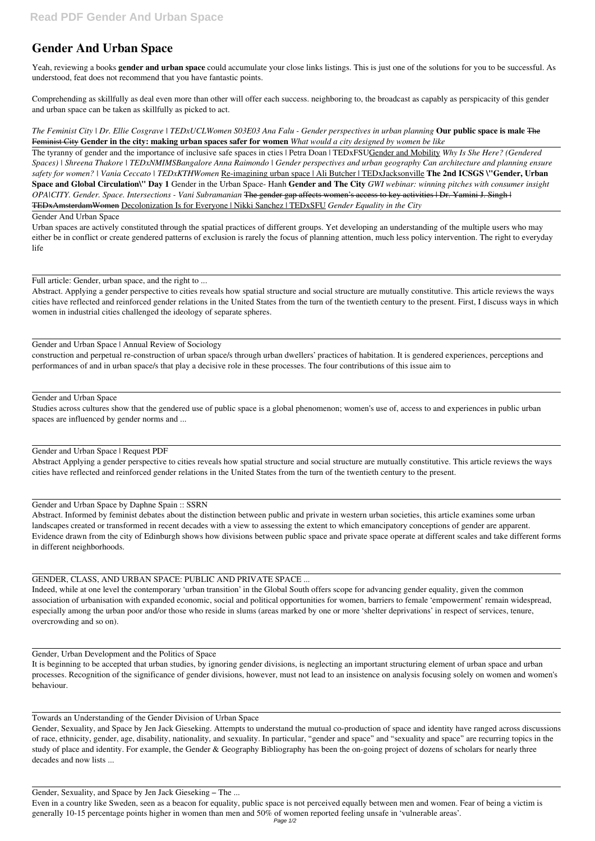# **Gender And Urban Space**

Yeah, reviewing a books **gender and urban space** could accumulate your close links listings. This is just one of the solutions for you to be successful. As understood, feat does not recommend that you have fantastic points.

Comprehending as skillfully as deal even more than other will offer each success. neighboring to, the broadcast as capably as perspicacity of this gender and urban space can be taken as skillfully as picked to act.

*The Feminist City | Dr. Ellie Cosgrave | TEDxUCLWomen S03E03 Ana Falu - Gender perspectives in urban planning* **Our public space is male** The Feminist City **Gender in the city: making urban spaces safer for women** *What would a city designed by women be like*

The tyranny of gender and the importance of inclusive safe spaces in cties | Petra Doan | TEDxFSUGender and Mobility *Why Is She Here? (Gendered Spaces) | Shreena Thakore | TEDxNMIMSBangalore Anna Raimondo | Gender perspectives and urban geography Can architecture and planning ensure safety for women? | Vania Ceccato | TEDxKTHWomen* Re-imagining urban space | Ali Butcher | TEDxJacksonville **The 2nd ICSGS \"Gender, Urban Space and Global Circulation\" Day 1** Gender in the Urban Space- Hanh **Gender and The City** *GWI webinar: winning pitches with consumer insight OPA|CITY. Gender. Space. Intersections - Vani Subramanian* The gender gap affects women's access to key activities | Dr. Yamini J. Singh | TEDxAmsterdamWomen Decolonization Is for Everyone | Nikki Sanchez | TEDxSFU *Gender Equality in the City*

Gender And Urban Space

Urban spaces are actively constituted through the spatial practices of different groups. Yet developing an understanding of the multiple users who may either be in conflict or create gendered patterns of exclusion is rarely the focus of planning attention, much less policy intervention. The right to everyday life

Full article: Gender, urban space, and the right to ...

Abstract. Applying a gender perspective to cities reveals how spatial structure and social structure are mutually constitutive. This article reviews the ways cities have reflected and reinforced gender relations in the United States from the turn of the twentieth century to the present. First, I discuss ways in which women in industrial cities challenged the ideology of separate spheres.

## Gender and Urban Space | Annual Review of Sociology

construction and perpetual re-construction of urban space/s through urban dwellers' practices of habitation. It is gendered experiences, perceptions and performances of and in urban space/s that play a decisive role in these processes. The four contributions of this issue aim to

## Gender and Urban Space

Studies across cultures show that the gendered use of public space is a global phenomenon; women's use of, access to and experiences in public urban spaces are influenced by gender norms and ...

## Gender and Urban Space | Request PDF

Abstract Applying a gender perspective to cities reveals how spatial structure and social structure are mutually constitutive. This article reviews the ways cities have reflected and reinforced gender relations in the United States from the turn of the twentieth century to the present.

## Gender and Urban Space by Daphne Spain :: SSRN

Abstract. Informed by feminist debates about the distinction between public and private in western urban societies, this article examines some urban landscapes created or transformed in recent decades with a view to assessing the extent to which emancipatory conceptions of gender are apparent. Evidence drawn from the city of Edinburgh shows how divisions between public space and private space operate at different scales and take different forms in different neighborhoods.

GENDER, CLASS, AND URBAN SPACE: PUBLIC AND PRIVATE SPACE ...

Indeed, while at one level the contemporary 'urban transition' in the Global South offers scope for advancing gender equality, given the common association of urbanisation with expanded economic, social and political opportunities for women, barriers to female 'empowerment' remain widespread, especially among the urban poor and/or those who reside in slums (areas marked by one or more 'shelter deprivations' in respect of services, tenure, overcrowding and so on).

Gender, Urban Development and the Politics of Space

It is beginning to be accepted that urban studies, by ignoring gender divisions, is neglecting an important structuring element of urban space and urban processes. Recognition of the significance of gender divisions, however, must not lead to an insistence on analysis focusing solely on women and women's behaviour.

Towards an Understanding of the Gender Division of Urban Space

Gender, Sexuality, and Space by Jen Jack Gieseking. Attempts to understand the mutual co-production of space and identity have ranged across discussions of race, ethnicity, gender, age, disability, nationality, and sexuality. In particular, "gender and space" and "sexuality and space" are recurring topics in the study of place and identity. For example, the Gender & Geography Bibliography has been the on-going project of dozens of scholars for nearly three decades and now lists ...

Gender, Sexuality, and Space by Jen Jack Gieseking – The ...

Even in a country like Sweden, seen as a beacon for equality, public space is not perceived equally between men and women. Fear of being a victim is generally 10-15 percentage points higher in women than men and 50% of women reported feeling unsafe in 'vulnerable areas'.